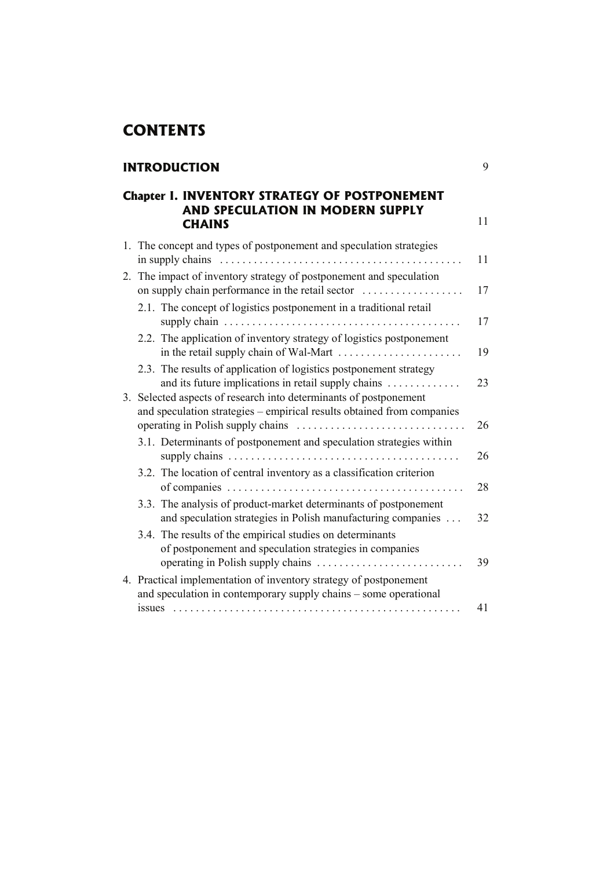## **CONTENTS**

## **INTRODUCTION** 9

## **Chapter I. INVENTORY STRATEGY OF POSTPONEMENT AND SPECULATION IN MODERN SUPPLY CHAINS** 11

|  | 1. The concept and types of postponement and speculation strategies<br>in supply chains $\dots \dots \dots \dots \dots \dots \dots \dots \dots \dots \dots \dots \dots \dots \dots$ | 11 |
|--|-------------------------------------------------------------------------------------------------------------------------------------------------------------------------------------|----|
|  | 2. The impact of inventory strategy of postponement and speculation<br>on supply chain performance in the retail sector                                                             | 17 |
|  | 2.1. The concept of logistics postponement in a traditional retail                                                                                                                  | 17 |
|  | 2.2. The application of inventory strategy of logistics postponement                                                                                                                | 19 |
|  | 2.3. The results of application of logistics postponement strategy<br>and its future implications in retail supply chains                                                           | 23 |
|  | 3. Selected aspects of research into determinants of postponement<br>and speculation strategies - empirical results obtained from companies                                         | 26 |
|  | 3.1. Determinants of postponement and speculation strategies within                                                                                                                 | 26 |
|  | 3.2. The location of central inventory as a classification criterion                                                                                                                | 28 |
|  | 3.3. The analysis of product-market determinants of postponement<br>and speculation strategies in Polish manufacturing companies                                                    | 32 |
|  | 3.4. The results of the empirical studies on determinants<br>of postponement and speculation strategies in companies                                                                | 39 |
|  | 4. Practical implementation of inventory strategy of postponement<br>and speculation in contemporary supply chains – some operational                                               |    |
|  |                                                                                                                                                                                     | 41 |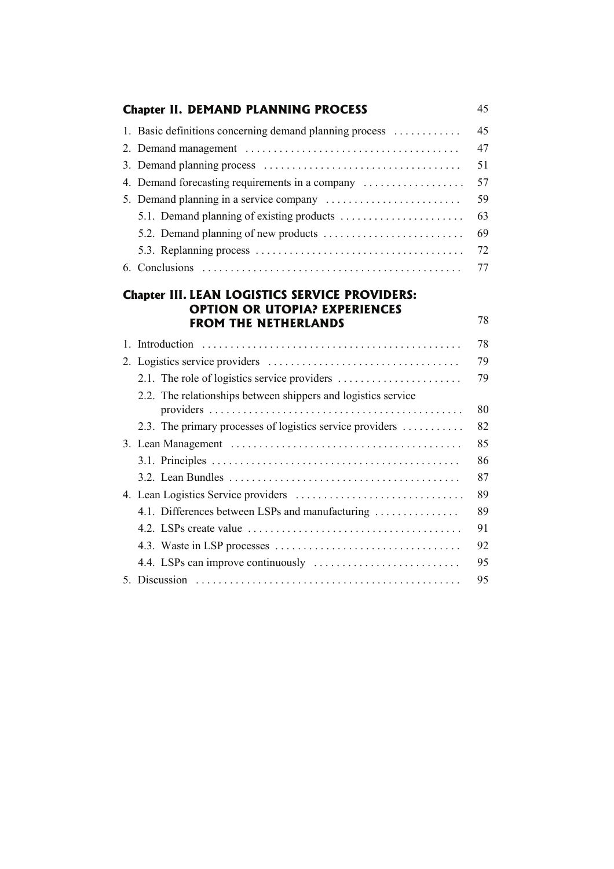| <b>Chapter II. DEMAND PLANNING PROCESS</b>                                                                                   | 45 |
|------------------------------------------------------------------------------------------------------------------------------|----|
| 1. Basic definitions concerning demand planning process                                                                      | 45 |
|                                                                                                                              | 47 |
|                                                                                                                              | 51 |
| 4. Demand forecasting requirements in a company                                                                              | 57 |
|                                                                                                                              | 59 |
|                                                                                                                              | 63 |
|                                                                                                                              | 69 |
|                                                                                                                              | 72 |
|                                                                                                                              | 77 |
| <b>Chapter III. LEAN LOGISTICS SERVICE PROVIDERS:</b><br><b>OPTION OR UTOPIA? EXPERIENCES</b><br><b>FROM THE NETHERLANDS</b> | 78 |
|                                                                                                                              | 78 |
|                                                                                                                              | 79 |
|                                                                                                                              | 79 |
| 2.2. The relationships between shippers and logistics service                                                                | 80 |
| 2.3. The primary processes of logistics service providers                                                                    | 82 |
|                                                                                                                              | 85 |
|                                                                                                                              | 86 |
|                                                                                                                              | 87 |
|                                                                                                                              | 89 |
| 4.1. Differences between LSPs and manufacturing                                                                              | 89 |
|                                                                                                                              | 91 |
|                                                                                                                              | 92 |
|                                                                                                                              | 95 |
|                                                                                                                              | 95 |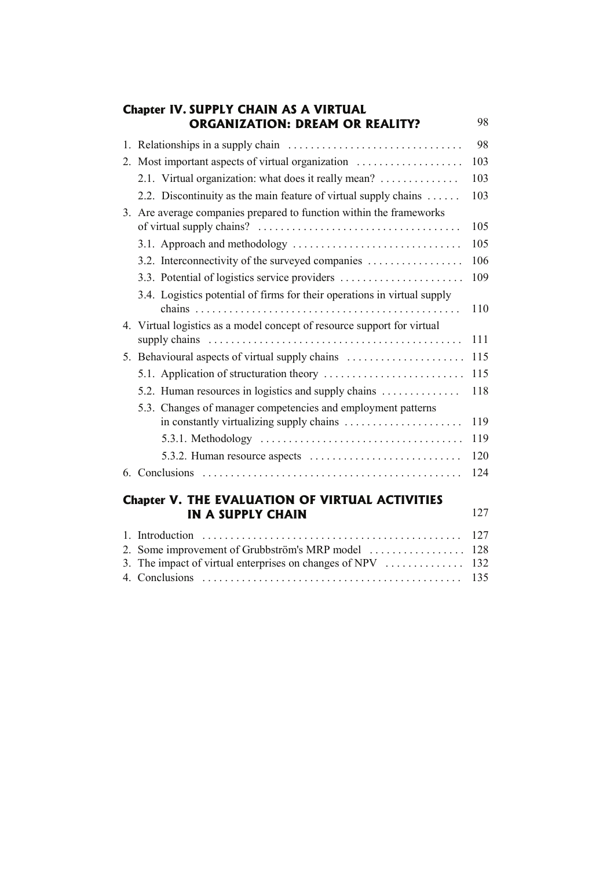|              | <b>Chapter IV. SUPPLY CHAIN AS A VIRTUAL</b><br><b>ORGANIZATION: DREAM OR REALITY?</b>            | 98         |
|--------------|---------------------------------------------------------------------------------------------------|------------|
|              |                                                                                                   | 98         |
|              | 2. Most important aspects of virtual organization                                                 | 103        |
|              | 2.1. Virtual organization: what does it really mean?                                              | 103        |
|              | 2.2. Discontinuity as the main feature of virtual supply chains                                   | 103        |
|              | 3. Are average companies prepared to function within the frameworks<br>of virtual supply chains?  | 105        |
|              |                                                                                                   | 105        |
|              | 3.2. Interconnectivity of the surveyed companies                                                  | 106        |
|              | 3.3. Potential of logistics service providers                                                     | 109        |
|              | 3.4. Logistics potential of firms for their operations in virtual supply                          | 110        |
|              | 4. Virtual logistics as a model concept of resource support for virtual                           | 111        |
|              | 5. Behavioural aspects of virtual supply chains                                                   | 115        |
|              |                                                                                                   | 115        |
|              | 5.2. Human resources in logistics and supply chains                                               | 118        |
|              | 5.3. Changes of manager competencies and employment patterns                                      | 119        |
|              | 5.3.1. Methodology $\dots \dots \dots \dots \dots \dots \dots \dots \dots \dots \dots \dots$      | 119        |
|              |                                                                                                   | 120        |
|              |                                                                                                   | 124        |
|              | <b>Chapter V. THE EVALUATION OF VIRTUAL ACTIVITIES</b><br><b>IN A SUPPLY CHAIN</b>                | 127        |
| $\mathbf{1}$ |                                                                                                   | 127        |
| 2.<br>3.     | Some improvement of Grubbström's MRP model<br>The impact of virtual enterprises on changes of NPV | 128<br>132 |
|              |                                                                                                   | 135        |